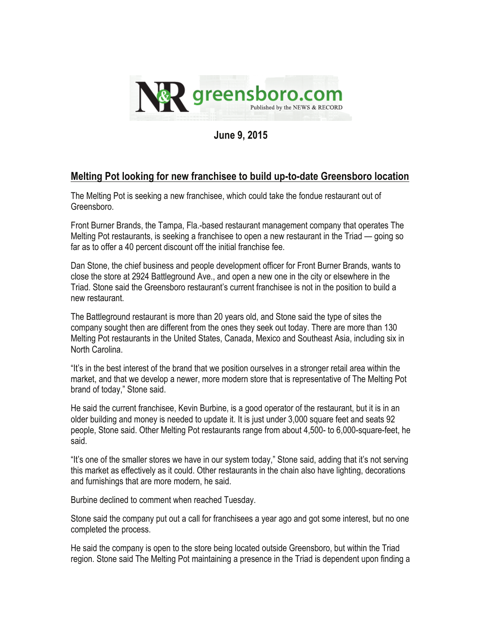

**June 9, 2015** 

## **Melting Pot looking for new franchisee to build up-to-date Greensboro location**

The Melting Pot is seeking a new franchisee, which could take the fondue restaurant out of Greensboro.

Front Burner Brands, the Tampa, Fla.-based restaurant management company that operates The Melting Pot restaurants, is seeking a franchisee to open a new restaurant in the Triad — going so far as to offer a 40 percent discount off the initial franchise fee.

Dan Stone, the chief business and people development officer for Front Burner Brands, wants to close the store at 2924 Battleground Ave., and open a new one in the city or elsewhere in the Triad. Stone said the Greensboro restaurant's current franchisee is not in the position to build a new restaurant.

The Battleground restaurant is more than 20 years old, and Stone said the type of sites the company sought then are different from the ones they seek out today. There are more than 130 Melting Pot restaurants in the United States, Canada, Mexico and Southeast Asia, including six in North Carolina.

"It's in the best interest of the brand that we position ourselves in a stronger retail area within the market, and that we develop a newer, more modern store that is representative of The Melting Pot brand of today," Stone said.

He said the current franchisee, Kevin Burbine, is a good operator of the restaurant, but it is in an older building and money is needed to update it. It is just under 3,000 square feet and seats 92 people, Stone said. Other Melting Pot restaurants range from about 4,500- to 6,000-square-feet, he said.

"It's one of the smaller stores we have in our system today," Stone said, adding that it's not serving this market as effectively as it could. Other restaurants in the chain also have lighting, decorations and furnishings that are more modern, he said.

Burbine declined to comment when reached Tuesday.

Stone said the company put out a call for franchisees a year ago and got some interest, but no one completed the process.

He said the company is open to the store being located outside Greensboro, but within the Triad region. Stone said The Melting Pot maintaining a presence in the Triad is dependent upon finding a